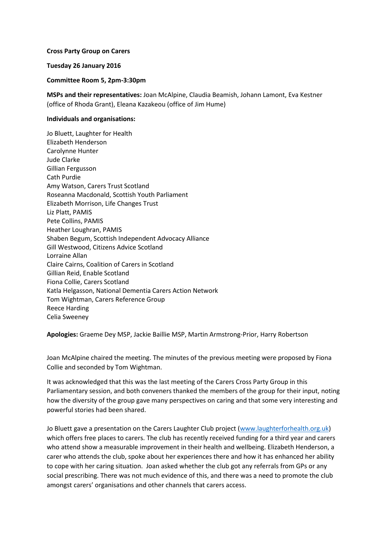## **Cross Party Group on Carers**

## **Tuesday 26 January 2016**

**Committee Room 5, 2pm-3:30pm**

**MSPs and their representatives:** Joan McAlpine, Claudia Beamish, Johann Lamont, Eva Kestner (office of Rhoda Grant), Eleana Kazakeou (office of Jim Hume)

## **Individuals and organisations:**

Jo Bluett, Laughter for Health Elizabeth Henderson Carolynne Hunter Jude Clarke Gillian Fergusson Cath Purdie Amy Watson, Carers Trust Scotland Roseanna Macdonald, Scottish Youth Parliament Elizabeth Morrison, Life Changes Trust Liz Platt, PAMIS Pete Collins, PAMIS Heather Loughran, PAMIS Shaben Begum, Scottish Independent Advocacy Alliance Gill Westwood, Citizens Advice Scotland Lorraine Allan Claire Cairns, Coalition of Carers in Scotland Gillian Reid, Enable Scotland Fiona Collie, Carers Scotland Katla Helgasson, National Dementia Carers Action Network Tom Wightman, Carers Reference Group Reece Harding Celia Sweeney

**Apologies:** Graeme Dey MSP, Jackie Baillie MSP, Martin Armstrong-Prior, Harry Robertson

Joan McAlpine chaired the meeting. The minutes of the previous meeting were proposed by Fiona Collie and seconded by Tom Wightman.

It was acknowledged that this was the last meeting of the Carers Cross Party Group in this Parliamentary session, and both conveners thanked the members of the group for their input, noting how the diversity of the group gave many perspectives on caring and that some very interesting and powerful stories had been shared.

Jo Bluett gave a presentation on the Carers Laughter Club project [\(www.laughterforhealth.org.uk\)](http://www.laughterforhealth.org.uk/) which offers free places to carers. The club has recently received funding for a third year and carers who attend show a measurable improvement in their health and wellbeing. Elizabeth Henderson, a carer who attends the club, spoke about her experiences there and how it has enhanced her ability to cope with her caring situation. Joan asked whether the club got any referrals from GPs or any social prescribing. There was not much evidence of this, and there was a need to promote the club amongst carers' organisations and other channels that carers access.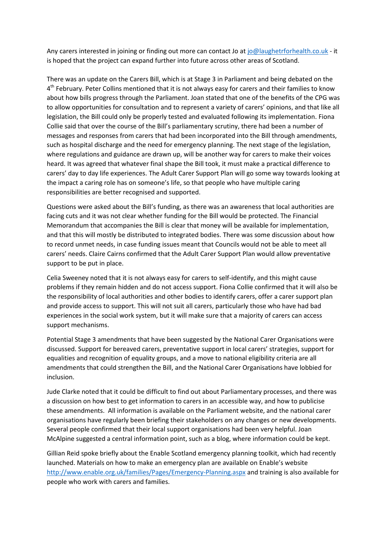Any carers interested in joining or finding out more can contact Jo a[t jo@laughetrforhealth.co.uk](mailto:jo@laughetrforhealth.co.uk) - it is hoped that the project can expand further into future across other areas of Scotland.

There was an update on the Carers Bill, which is at Stage 3 in Parliament and being debated on the 4<sup>th</sup> February. Peter Collins mentioned that it is not always easy for carers and their families to know about how bills progress through the Parliament. Joan stated that one of the benefits of the CPG was to allow opportunities for consultation and to represent a variety of carers' opinions, and that like all legislation, the Bill could only be properly tested and evaluated following its implementation. Fiona Collie said that over the course of the Bill's parliamentary scrutiny, there had been a number of messages and responses from carers that had been incorporated into the Bill through amendments, such as hospital discharge and the need for emergency planning. The next stage of the legislation, where regulations and guidance are drawn up, will be another way for carers to make their voices heard. It was agreed that whatever final shape the Bill took, it must make a practical difference to carers' day to day life experiences. The Adult Carer Support Plan will go some way towards looking at the impact a caring role has on someone's life, so that people who have multiple caring responsibilities are better recognised and supported.

Questions were asked about the Bill's funding, as there was an awareness that local authorities are facing cuts and it was not clear whether funding for the Bill would be protected. The Financial Memorandum that accompanies the Bill is clear that money will be available for implementation, and that this will mostly be distributed to integrated bodies. There was some discussion about how to record unmet needs, in case funding issues meant that Councils would not be able to meet all carers' needs. Claire Cairns confirmed that the Adult Carer Support Plan would allow preventative support to be put in place.

Celia Sweeney noted that it is not always easy for carers to self-identify, and this might cause problems if they remain hidden and do not access support. Fiona Collie confirmed that it will also be the responsibility of local authorities and other bodies to identify carers, offer a carer support plan and provide access to support. This will not suit all carers, particularly those who have had bad experiences in the social work system, but it will make sure that a majority of carers can access support mechanisms.

Potential Stage 3 amendments that have been suggested by the National Carer Organisations were discussed. Support for bereaved carers, preventative support in local carers' strategies, support for equalities and recognition of equality groups, and a move to national eligibility criteria are all amendments that could strengthen the Bill, and the National Carer Organisations have lobbied for inclusion.

Jude Clarke noted that it could be difficult to find out about Parliamentary processes, and there was a discussion on how best to get information to carers in an accessible way, and how to publicise these amendments. All information is available on the Parliament website, and the national carer organisations have regularly been briefing their stakeholders on any changes or new developments. Several people confirmed that their local support organisations had been very helpful. Joan McAlpine suggested a central information point, such as a blog, where information could be kept.

Gillian Reid spoke briefly about the Enable Scotland emergency planning toolkit, which had recently launched. Materials on how to make an emergency plan are available on Enable's website <http://www.enable.org.uk/families/Pages/Emergency-Planning.aspx> and training is also available for people who work with carers and families.